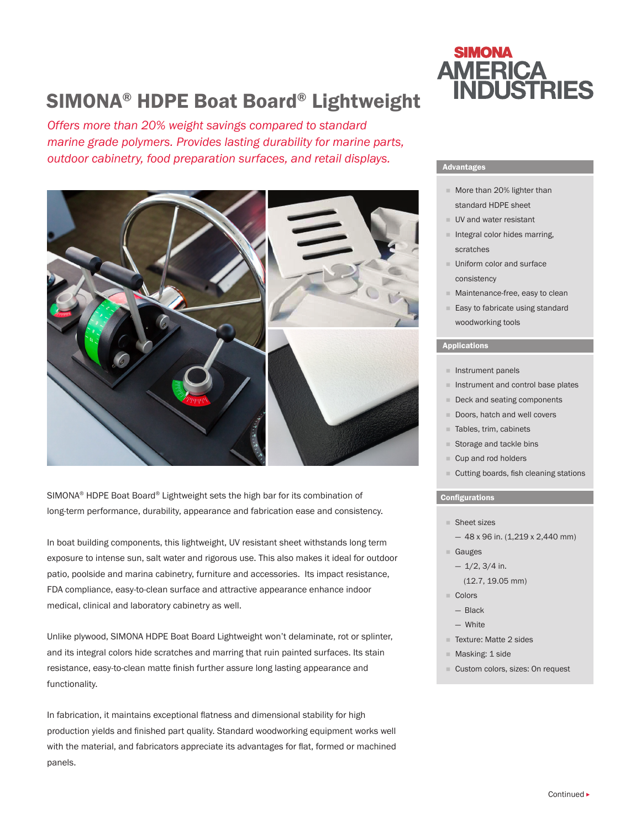# SIMONA® HDPE Boat Board® Lightweight

*Offers more than 20% weight savings compared to standard marine grade polymers. Provides lasting durability for marine parts, outdoor cabinetry, food preparation surfaces, and retail displays.*



SIMONA® HDPE Boat Board® Lightweight sets the high bar for its combination of long-term performance, durability, appearance and fabrication ease and consistency.

In boat building components, this lightweight, UV resistant sheet withstands long term exposure to intense sun, salt water and rigorous use. This also makes it ideal for outdoor patio, poolside and marina cabinetry, furniture and accessories. Its impact resistance, FDA compliance, easy-to-clean surface and attractive appearance enhance indoor medical, clinical and laboratory cabinetry as well.

Unlike plywood, SIMONA HDPE Boat Board Lightweight won't delaminate, rot or splinter, and its integral colors hide scratches and marring that ruin painted surfaces. Its stain resistance, easy-to-clean matte finish further assure long lasting appearance and functionality.

In fabrication, it maintains exceptional flatness and dimensional stability for high production yields and finished part quality. Standard woodworking equipment works well with the material, and fabricators appreciate its advantages for flat, formed or machined panels.

## **SIMONA AMERICA INDUSTRIES**

#### Advantages

- More than 20% lighter than standard HDPE sheet
- **UV** and water resistant
- $\blacksquare$  Integral color hides marring, scratches
- **Uniform color and surface** consistency
- **Maintenance-free, easy to clean**
- Easy to fabricate using standard woodworking tools

#### Applications

- $\blacksquare$  Instrument panels
- $\blacksquare$  Instrument and control base plates
- Deck and seating components
- Doors, hatch and well covers
- Tables, trim, cabinets
- Storage and tackle bins
- Cup and rod holders
- Cutting boards, fish cleaning stations

#### **Configurations**

- Sheet sizes
- $-48$  x 96 in. (1,219 x 2,440 mm)

### ■ Gauges

- $-1/2$ , 3/4 in. (12.7, 19.05 mm)
- Colors
	- Black
	- White
- Texture: Matte 2 sides
- **Masking: 1 side**
- Custom colors, sizes: On request